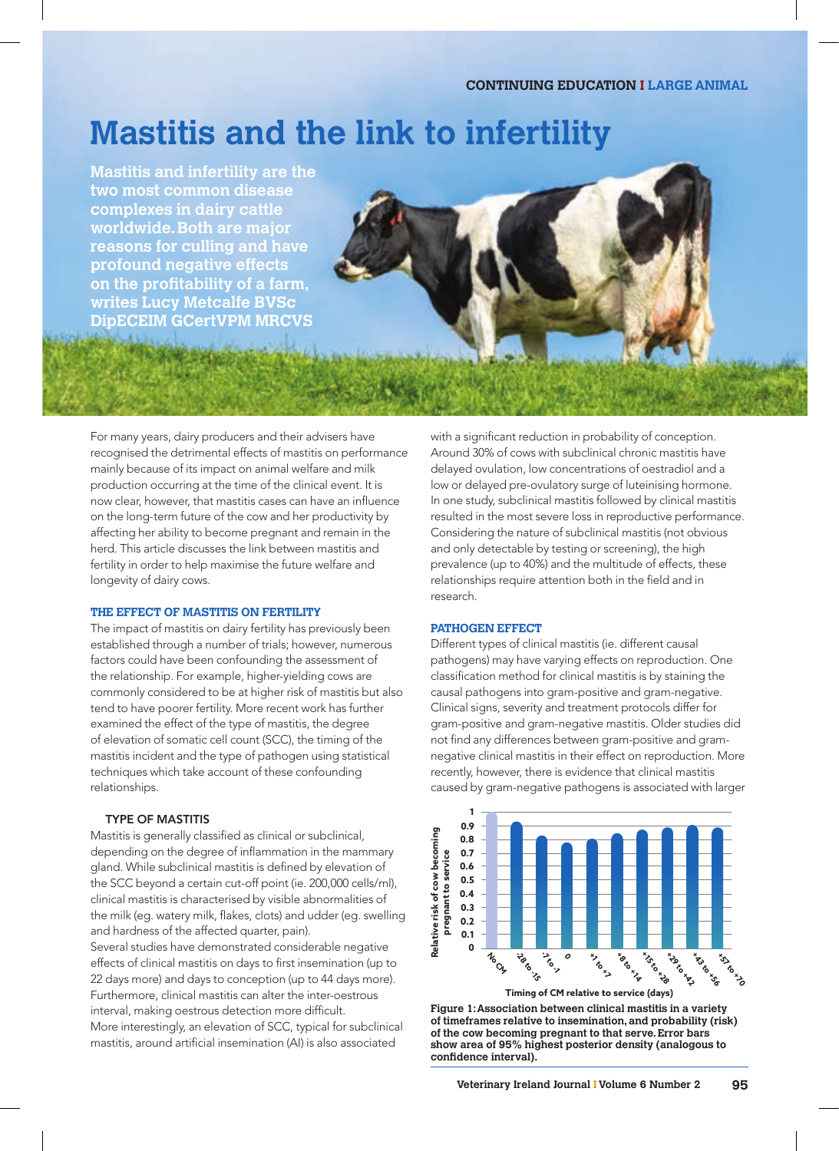# **Mastitis and the link to infertility**

**Mastitis and infertility are the two most common disease complexes in dairy cattle worldwide. Both are major reasons for culling and have profound negative effects on the profitability of a farm, writes Lucy Metcalfe BVSc DipECEIM GCertVPM MRCVS**



## **THE EFFECT OF MASTITIS ON FERTILITY**

The impact of mastitis on dairy fertility has previously been established through a number of trials; however, numerous factors could have been confounding the assessment of the relationship. For example, higher-yielding cows are commonly considered to be at higher risk of mastitis but also tend to have poorer fertility. More recent work has further examined the effect of the type of mastitis, the degree of elevation of somatic cell count (SCC), the timing of the mastitis incident and the type of pathogen using statistical techniques which take account of these confounding relationships.

## TYPE OF MASTITIS

Mastitis is generally classified as clinical or subclinical, depending on the degree of inflammation in the mammary gland. While subclinical mastitis is defined by elevation of the SCC beyond a certain cut-off point (ie. 200,000 cells/ml), clinical mastitis is characterised by visible abnormalities of the milk (eg. watery milk, flakes, clots) and udder (eg. swelling and hardness of the affected quarter, pain). Several studies have demonstrated considerable negative effects of clinical mastitis on days to first insemination (up to 22 days more) and days to conception (up to 44 days more). Furthermore, clinical mastitis can alter the inter-oestrous interval, making oestrous detection more difficult. More interestingly, an elevation of SCC, typical for subclinical mastitis, around artificial insemination (AI) is also associated

with a significant reduction in probability of conception. Around 30% of cows with subclinical chronic mastitis have delayed ovulation, low concentrations of oestradiol and a low or delayed pre-ovulatory surge of luteinising hormone. In one study, subclinical mastitis followed by clinical mastitis resulted in the most severe loss in reproductive performance. Considering the nature of subclinical mastitis (not obvious and only detectable by testing or screening), the high prevalence (up to 40%) and the multitude of effects, these relationships require attention both in the field and in research.

### **PATHOGEN EFFECT**

Different types of clinical mastitis (ie. different causal pathogens) may have varying effects on reproduction. One classification method for clinical mastitis is by staining the causal pathogens into gram-positive and gram-negative. Clinical signs, severity and treatment protocols differ for gram-positive and gram-negative mastitis. Older studies did not find any differences between gram-positive and gramnegative clinical mastitis in their effect on reproduction. More recently, however, there is evidence that clinical mastitis caused by gram-negative pathogens is associated with larger



**Figure 1: Association between clinical mastitis in a variety of timeframes relative to insemination, and probability (risk) of the cow becoming pregnant to that serve. Error bars show area of 95% highest posterior density (analogous to confidence interval).**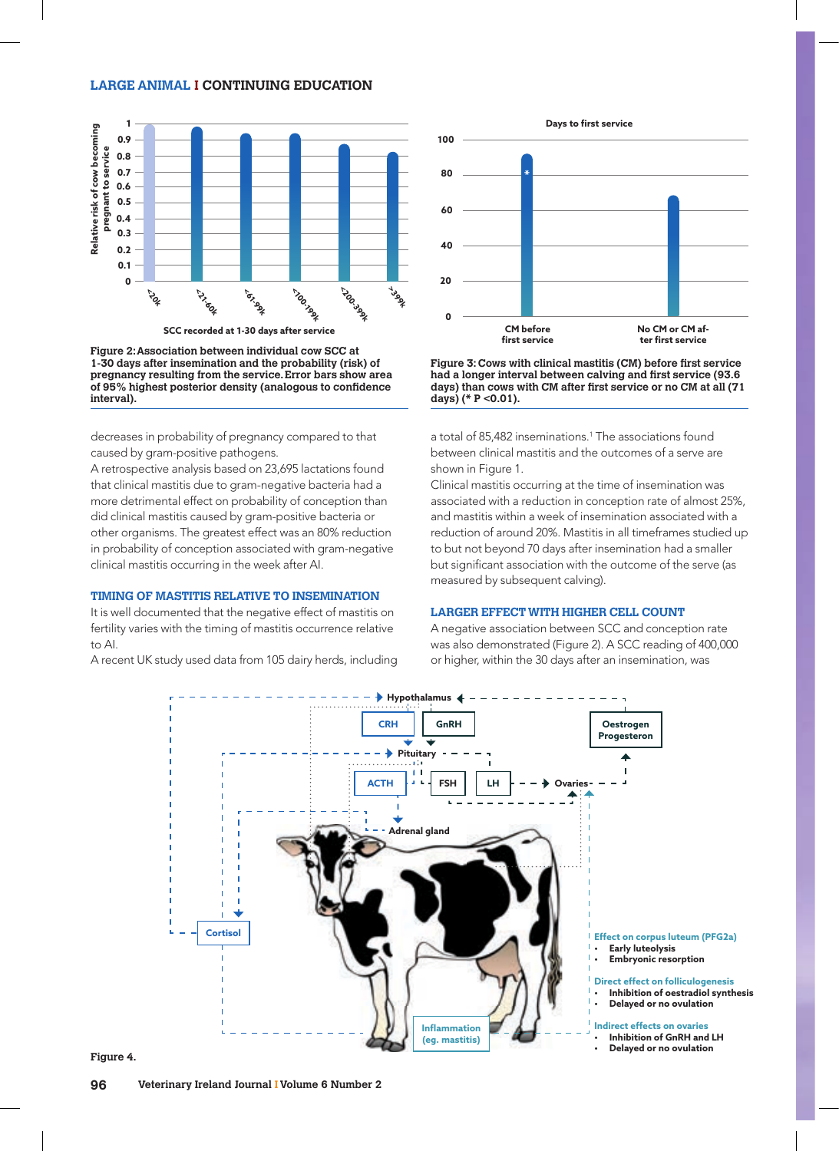## **LARGE ANIMAL I CONTINUING EDUCATION**



**SCC recorded at 1-30 days after service**

**Figure 2: Association between individual cow SCC at 1-30 days after insemination and the probability (risk) of pregnancy resulting from the service. Error bars show area of 95% highest posterior density (analogous to confidence interval).**

decreases in probability of pregnancy compared to that caused by gram-positive pathogens.

A retrospective analysis based on 23,695 lactations found that clinical mastitis due to gram-negative bacteria had a more detrimental effect on probability of conception than did clinical mastitis caused by gram-positive bacteria or other organisms. The greatest effect was an 80% reduction in probability of conception associated with gram-negative clinical mastitis occurring in the week after AI.

### **TIMING OF MASTITIS RELATIVE TO INSEMINATION**

It is well documented that the negative effect of mastitis on fertility varies with the timing of mastitis occurrence relative to AI.

A recent UK study used data from 105 dairy herds, including



**Figure 3: Cows with clinical mastitis (CM) before first service had a longer interval between calving and first service (93.6 days) than cows with CM after first service or no CM at all (71 days) (\* P <0.01).**

a total of 85,482 inseminations.1 The associations found between clinical mastitis and the outcomes of a serve are shown in Figure 1.

Clinical mastitis occurring at the time of insemination was associated with a reduction in conception rate of almost 25%, and mastitis within a week of insemination associated with a reduction of around 20%. Mastitis in all timeframes studied up to but not beyond 70 days after insemination had a smaller but significant association with the outcome of the serve (as measured by subsequent calving).

#### **LARGER EFFECT WITH HIGHER CELL COUNT**

A negative association between SCC and conception rate was also demonstrated (Figure 2). A SCC reading of 400,000 or higher, within the 30 days after an insemination, was



**Figure 4.**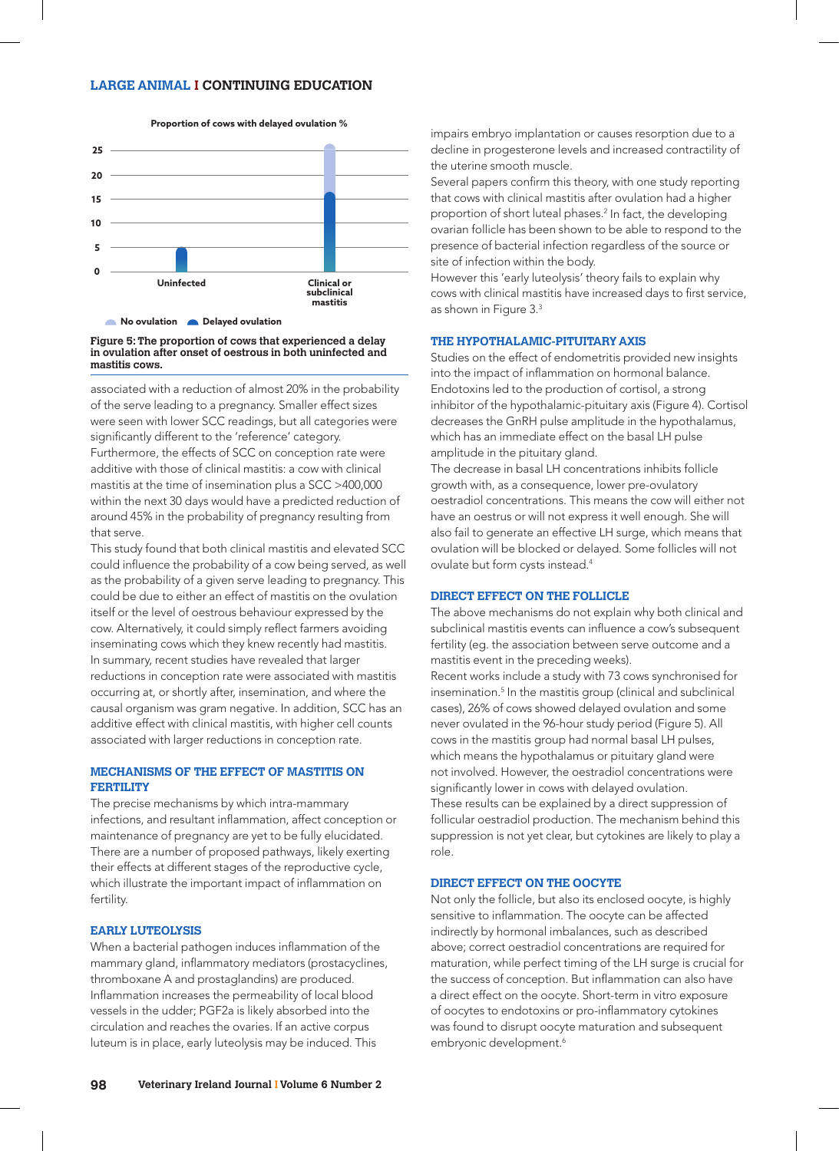#### **Proportion of cows with delayed ovulation %**



#### **Figure 5: The proportion of cows that experienced a delay in ovulation after onset of oestrous in both uninfected and mastitis cows.**

associated with a reduction of almost 20% in the probability of the serve leading to a pregnancy. Smaller effect sizes were seen with lower SCC readings, but all categories were significantly different to the 'reference' category. Furthermore, the effects of SCC on conception rate were additive with those of clinical mastitis: a cow with clinical mastitis at the time of insemination plus a SCC >400,000 within the next 30 days would have a predicted reduction of around 45% in the probability of pregnancy resulting from that serve.

This study found that both clinical mastitis and elevated SCC could influence the probability of a cow being served, as well as the probability of a given serve leading to pregnancy. This could be due to either an effect of mastitis on the ovulation itself or the level of oestrous behaviour expressed by the cow. Alternatively, it could simply reflect farmers avoiding inseminating cows which they knew recently had mastitis. In summary, recent studies have revealed that larger reductions in conception rate were associated with mastitis occurring at, or shortly after, insemination, and where the causal organism was gram negative. In addition, SCC has an additive effect with clinical mastitis, with higher cell counts associated with larger reductions in conception rate.

## **MECHANISMS OF THE EFFECT OF MASTITIS ON FERTILITY**

The precise mechanisms by which intra-mammary infections, and resultant inflammation, affect conception or maintenance of pregnancy are yet to be fully elucidated. There are a number of proposed pathways, likely exerting their effects at different stages of the reproductive cycle, which illustrate the important impact of inflammation on fertility.

#### **EARLY LUTEOLYSIS**

When a bacterial pathogen induces inflammation of the mammary gland, inflammatory mediators (prostacyclines, thromboxane A and prostaglandins) are produced. Inflammation increases the permeability of local blood vessels in the udder; PGF2a is likely absorbed into the circulation and reaches the ovaries. If an active corpus luteum is in place, early luteolysis may be induced. This

impairs embryo implantation or causes resorption due to a decline in progesterone levels and increased contractility of the uterine smooth muscle.

Several papers confirm this theory, with one study reporting that cows with clinical mastitis after ovulation had a higher proportion of short luteal phases.2 In fact, the developing ovarian follicle has been shown to be able to respond to the presence of bacterial infection regardless of the source or site of infection within the body.

However this 'early luteolysis' theory fails to explain why cows with clinical mastitis have increased days to first service, as shown in Figure 3.3

## **THE HYPOTHALAMIC-PITUITARY AXIS**

Studies on the effect of endometritis provided new insights into the impact of inflammation on hormonal balance. Endotoxins led to the production of cortisol, a strong inhibitor of the hypothalamic-pituitary axis (Figure 4). Cortisol decreases the GnRH pulse amplitude in the hypothalamus, which has an immediate effect on the basal LH pulse amplitude in the pituitary gland.

The decrease in basal LH concentrations inhibits follicle growth with, as a consequence, lower pre-ovulatory oestradiol concentrations. This means the cow will either not have an oestrus or will not express it well enough. She will also fail to generate an effective LH surge, which means that ovulation will be blocked or delayed. Some follicles will not ovulate but form cysts instead.4

#### **DIRECT EFFECT ON THE FOLLICLE**

The above mechanisms do not explain why both clinical and subclinical mastitis events can influence a cow's subsequent fertility (eg. the association between serve outcome and a mastitis event in the preceding weeks).

Recent works include a study with 73 cows synchronised for insemination.5 In the mastitis group (clinical and subclinical cases), 26% of cows showed delayed ovulation and some never ovulated in the 96-hour study period (Figure 5). All cows in the mastitis group had normal basal LH pulses, which means the hypothalamus or pituitary gland were not involved. However, the oestradiol concentrations were significantly lower in cows with delayed ovulation. These results can be explained by a direct suppression of follicular oestradiol production. The mechanism behind this suppression is not yet clear, but cytokines are likely to play a role.

### **DIRECT EFFECT ON THE OOCYTE**

Not only the follicle, but also its enclosed oocyte, is highly sensitive to inflammation. The oocyte can be affected indirectly by hormonal imbalances, such as described above; correct oestradiol concentrations are required for maturation, while perfect timing of the LH surge is crucial for the success of conception. But inflammation can also have a direct effect on the oocyte. Short-term in vitro exposure of oocytes to endotoxins or pro-inflammatory cytokines was found to disrupt oocyte maturation and subsequent embryonic development.<sup>6</sup>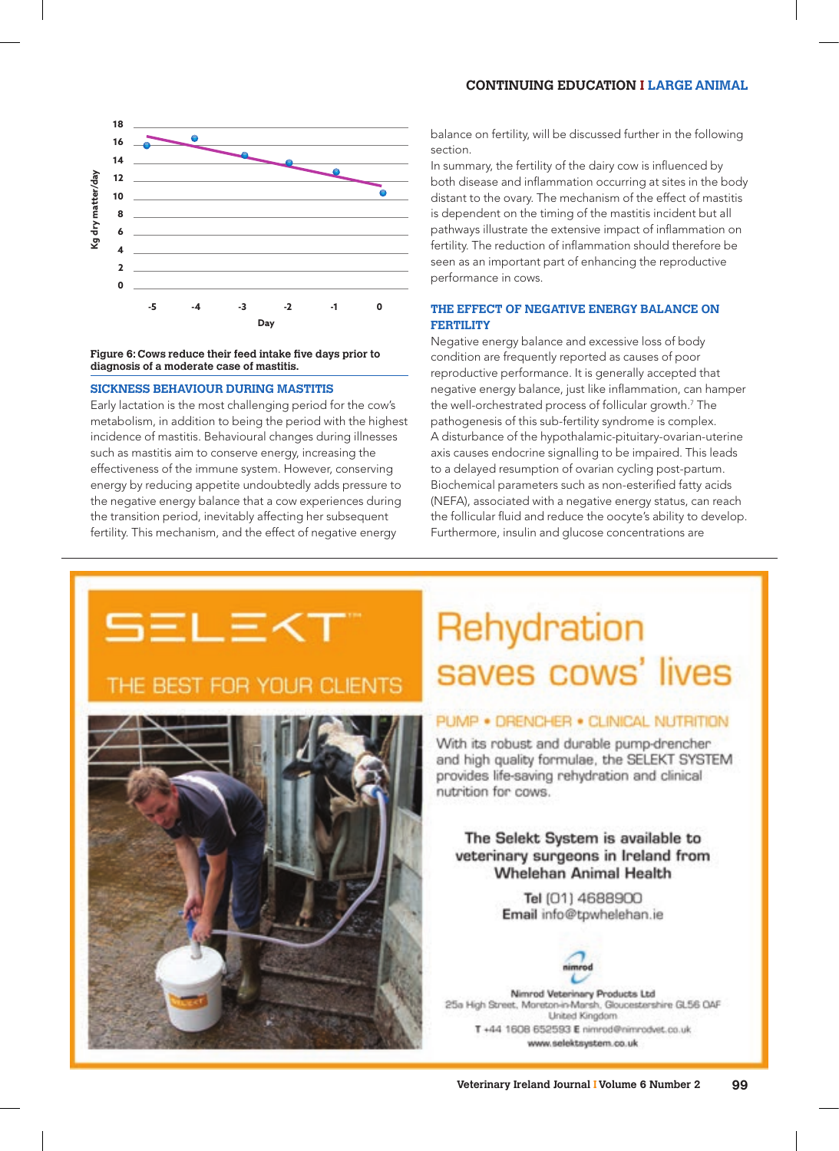## **CONTINUING EDUCATION I LARGE ANIMAL**



#### **Figure 6: Cows reduce their feed intake five days prior to diagnosis of a moderate case of mastitis.**

#### **SICKNESS BEHAVIOUR DURING MASTITIS**

Early lactation is the most challenging period for the cow's metabolism, in addition to being the period with the highest incidence of mastitis. Behavioural changes during illnesses such as mastitis aim to conserve energy, increasing the effectiveness of the immune system. However, conserving energy by reducing appetite undoubtedly adds pressure to the negative energy balance that a cow experiences during the transition period, inevitably affecting her subsequent fertility. This mechanism, and the effect of negative energy

balance on fertility, will be discussed further in the following section.

In summary, the fertility of the dairy cow is influenced by both disease and inflammation occurring at sites in the body distant to the ovary. The mechanism of the effect of mastitis is dependent on the timing of the mastitis incident but all pathways illustrate the extensive impact of inflammation on fertility. The reduction of inflammation should therefore be seen as an important part of enhancing the reproductive performance in cows.

# **THE EFFECT OF NEGATIVE ENERGY BALANCE ON FERTILITY**

Negative energy balance and excessive loss of body condition are frequently reported as causes of poor reproductive performance. It is generally accepted that negative energy balance, just like inflammation, can hamper the well-orchestrated process of follicular growth.7 The pathogenesis of this sub-fertility syndrome is complex. A disturbance of the hypothalamic-pituitary-ovarian-uterine axis causes endocrine signalling to be impaired. This leads to a delayed resumption of ovarian cycling post-partum. Biochemical parameters such as non-esterified fatty acids (NEFA), associated with a negative energy status, can reach the follicular fluid and reduce the oocyte's ability to develop. Furthermore, insulin and glucose concentrations are